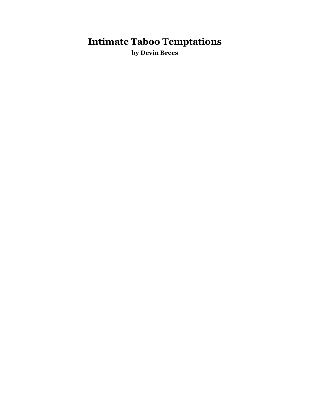## **Intimate Taboo Temptations**

**by Devin Brees**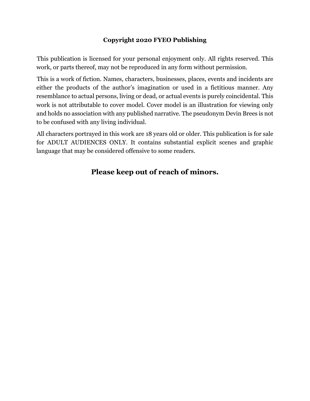## **Copyright 2020 FYEO Publishing**

This publication is licensed for your personal enjoyment only. All rights reserved. This work, or parts thereof, may not be reproduced in any form without permission.

This is a work of fiction. Names, characters, businesses, places, events and incidents are either the products of the author's imagination or used in a fictitious manner. Any resemblance to actual persons, living or dead, or actual events is purely coincidental. This work is not attributable to cover model. Cover model is an illustration for viewing only and holds no association with any published narrative. The pseudonym Devin Brees is not to be confused with any living individual.

All characters portrayed in this work are 18 years old or older. This publication is for sale for ADULT AUDIENCES ONLY. It contains substantial explicit scenes and graphic language that may be considered offensive to some readers.

## **Please keep out of reach of minors.**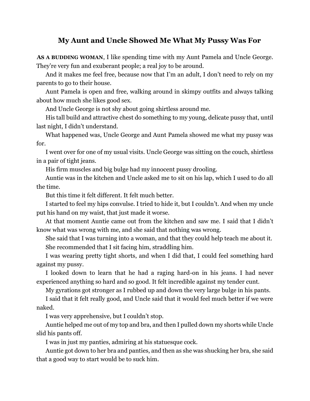## **My Aunt and Uncle Showed Me What My Pussy Was For**

**AS A BUDDING WOMAN**, I like spending time with my Aunt Pamela and Uncle George. They're very fun and exuberant people; a real joy to be around.

And it makes me feel free, because now that I'm an adult, I don't need to rely on my parents to go to their house.

Aunt Pamela is open and free, walking around in skimpy outfits and always talking about how much she likes good sex.

And Uncle George is not shy about going shirtless around me.

His tall build and attractive chest do something to my young, delicate pussy that, until last night, I didn't understand.

What happened was, Uncle George and Aunt Pamela showed me what my pussy was for.

I went over for one of my usual visits. Uncle George was sitting on the couch, shirtless in a pair of tight jeans.

His firm muscles and big bulge had my innocent pussy drooling.

Auntie was in the kitchen and Uncle asked me to sit on his lap, which I used to do all the time.

But this time it felt different. It felt much better.

I started to feel my hips convulse. I tried to hide it, but I couldn't. And when my uncle put his hand on my waist, that just made it worse.

At that moment Auntie came out from the kitchen and saw me. I said that I didn't know what was wrong with me, and she said that nothing was wrong.

She said that I was turning into a woman, and that they could help teach me about it. She recommended that I sit facing him, straddling him.

I was wearing pretty tight shorts, and when I did that, I could feel something hard against my pussy.

I looked down to learn that he had a raging hard-on in his jeans. I had never experienced anything so hard and so good. It felt incredible against my tender cunt.

My gyrations got stronger as I rubbed up and down the very large bulge in his pants.

I said that it felt really good, and Uncle said that it would feel much better if we were naked.

I was very apprehensive, but I couldn't stop.

Auntie helped me out of my top and bra, and then I pulled down my shorts while Uncle slid his pants off.

I was in just my panties, admiring at his statuesque cock.

Auntie got down to her bra and panties, and then as she was shucking her bra, she said that a good way to start would be to suck him.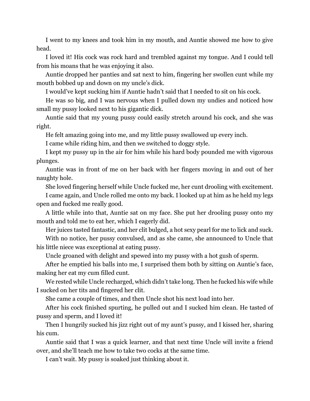I went to my knees and took him in my mouth, and Auntie showed me how to give head.

I loved it! His cock was rock hard and trembled against my tongue. And I could tell from his moans that he was enjoying it also.

Auntie dropped her panties and sat next to him, fingering her swollen cunt while my mouth bobbed up and down on my uncle's dick.

I would've kept sucking him if Auntie hadn't said that I needed to sit on his cock.

He was so big, and I was nervous when I pulled down my undies and noticed how small my pussy looked next to his gigantic dick.

Auntie said that my young pussy could easily stretch around his cock, and she was right.

He felt amazing going into me, and my little pussy swallowed up every inch.

I came while riding him, and then we switched to doggy style.

I kept my pussy up in the air for him while his hard body pounded me with vigorous plunges.

Auntie was in front of me on her back with her fingers moving in and out of her naughty hole.

She loved fingering herself while Uncle fucked me, her cunt drooling with excitement.

I came again, and Uncle rolled me onto my back. I looked up at him as he held my legs open and fucked me really good.

A little while into that, Auntie sat on my face. She put her drooling pussy onto my mouth and told me to eat her, which I eagerly did.

Her juices tasted fantastic, and her clit bulged, a hot sexy pearl for me to lick and suck.

With no notice, her pussy convulsed, and as she came, she announced to Uncle that his little niece was exceptional at eating pussy.

Uncle groaned with delight and spewed into my pussy with a hot gush of sperm.

After he emptied his balls into me, I surprised them both by sitting on Auntie's face, making her eat my cum filled cunt.

We rested while Uncle recharged, which didn't take long. Then he fucked his wife while I sucked on her tits and fingered her clit.

She came a couple of times, and then Uncle shot his next load into her.

After his cock finished spurting, he pulled out and I sucked him clean. He tasted of pussy and sperm, and I loved it!

Then I hungrily sucked his jizz right out of my aunt's pussy, and I kissed her, sharing his cum.

Auntie said that I was a quick learner, and that next time Uncle will invite a friend over, and she'll teach me how to take two cocks at the same time.

I can't wait. My pussy is soaked just thinking about it.